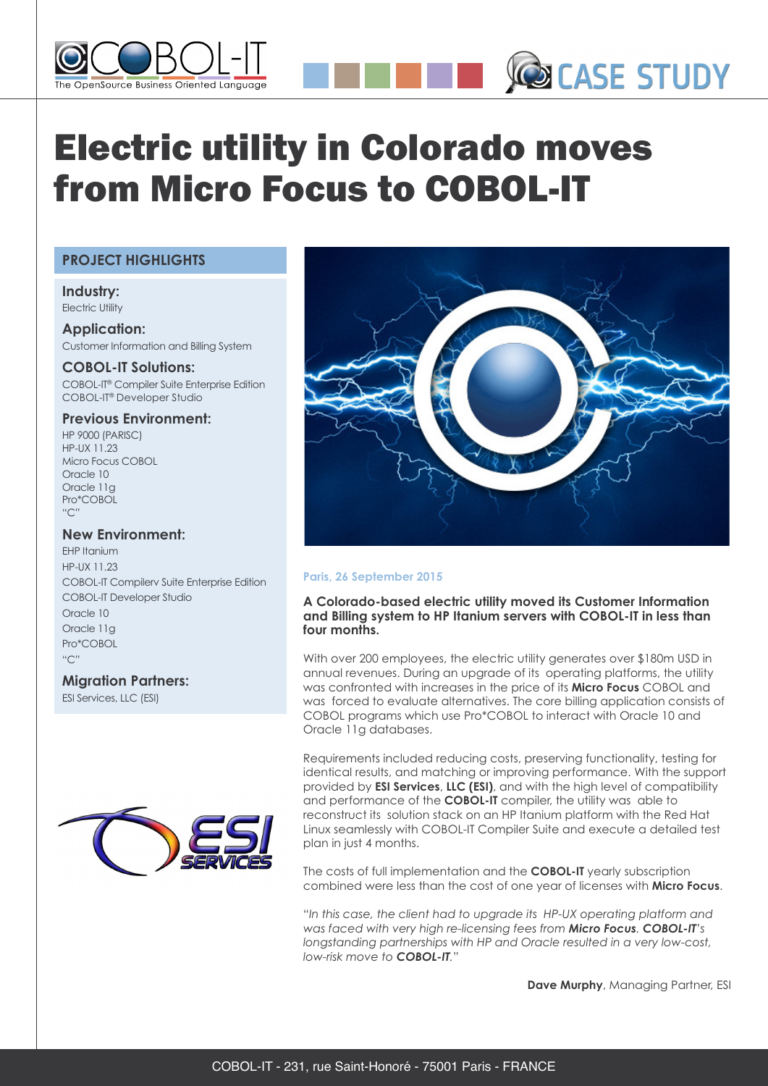

# Electric utility in Colorado moves from Micro Focus to COBOL-IT

## **PROJECT HIGHLIGHTS**

#### **Industry:** Electric Utility

**Application:** Customer Information and Billing System

# **COBOL-IT Solutions:**

COBOL-IT® Compiler Suite Enterprise Edition COBOL-IT® Developer Studio

## **Previous Environment:**

HP 9000 (PARISC) HP-UX 11.23 Micro Focus COBOL Oracle 10 Oracle 11g Pro\*COBOL  $"C"$ 

# **New Environment:**

EHP Itanium **HP-UX 11.23** COBOL-IT Compilerv Suite Enterprise Edition COBOL-IT Developer Studio Oracle 10 Oracle 11g Pro\*COBOL  $"C"$ 

# **Migration Partners:**

ESI Services, LLC (ESI)





**CO CASE STUDY** 

### **Paris, 26 September 2015**

**A Colorado-based electric utility moved its Customer Information and Billing system to HP Itanium servers with COBOL-IT in less than four months.**

With over 200 employees, the electric utility generates over \$180m USD in annual revenues. During an upgrade of its operating platforms, the utility was confronted with increases in the price of its **Micro Focus** COBOL and was forced to evaluate alternatives. The core billing application consists of COBOL programs which use Pro\*COBOL to interact with Oracle 10 and Oracle 11g databases.

Requirements included reducing costs, preserving functionality, testing for identical results, and matching or improving performance. With the support provided by **ESI Services**, **LLC (ESI)**, and with the high level of compatibility and performance of the **COBOL-IT** compiler, the utility was able to reconstruct its solution stack on an HP Itanium platform with the Red Hat Linux seamlessly with COBOL-IT Compiler Suite and execute a detailed test plan in just 4 months.

The costs of full implementation and the **COBOL-IT** yearly subscription combined were less than the cost of one year of licenses with **Micro Focus**.

"*In this case, the client had to upgrade its HP-UX operating platform and was faced with very high re-licensing fees from Micro Focus. COBOL-IT's longstanding partnerships with HP and Oracle resulted in a very low-cost, low-risk move to COBOL-IT.*"

**Dave Murphy**, Managing Partner, ESI